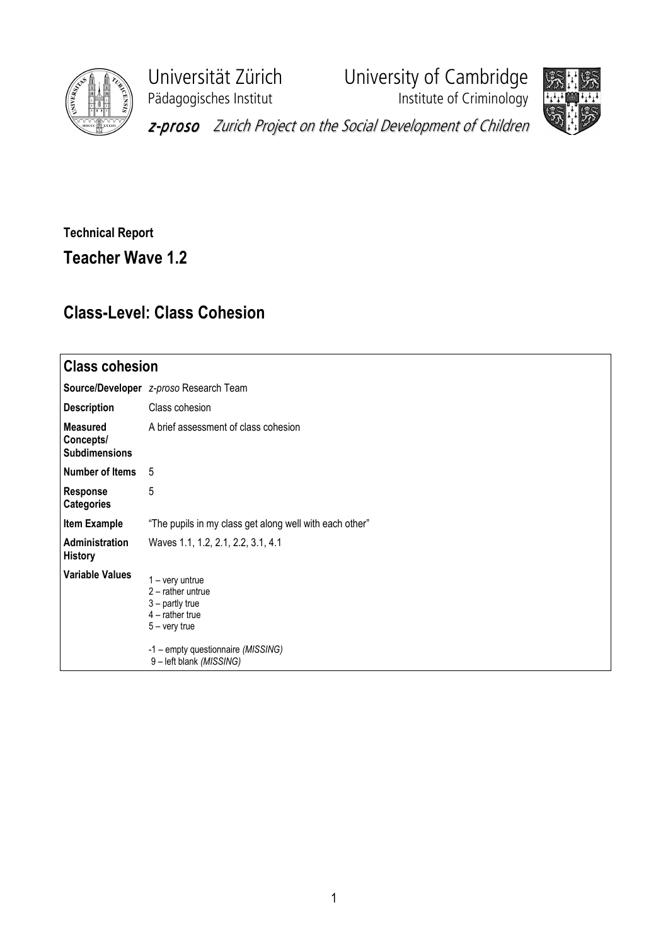

Pädagogisches Institut **Institute of Criminology** 

Universität Zürich University of Cambridge



z-proso Zurich Project on the Social Development of Children

## Technical Report Teacher Wave 1.2

## Class-Level: Class Cohesion

| <b>Class cohesion</b>                                |                                                                                                                                                                       |  |  |  |  |  |
|------------------------------------------------------|-----------------------------------------------------------------------------------------------------------------------------------------------------------------------|--|--|--|--|--|
|                                                      | Source/Developer z-proso Research Team                                                                                                                                |  |  |  |  |  |
| <b>Description</b>                                   | Class cohesion                                                                                                                                                        |  |  |  |  |  |
| <b>Measured</b><br>Concepts/<br><b>Subdimensions</b> | A brief assessment of class cohesion                                                                                                                                  |  |  |  |  |  |
| Number of Items                                      | 5                                                                                                                                                                     |  |  |  |  |  |
| <b>Response</b><br><b>Categories</b>                 | 5                                                                                                                                                                     |  |  |  |  |  |
| <b>Item Example</b>                                  | "The pupils in my class get along well with each other"                                                                                                               |  |  |  |  |  |
| Administration<br><b>History</b>                     | Waves 1.1, 1.2, 2.1, 2.2, 3.1, 4.1                                                                                                                                    |  |  |  |  |  |
| <b>Variable Values</b>                               | $1 - \text{very}$<br>$2$ – rather untrue<br>$3$ – partly true<br>$4$ – rather true<br>$5 -$ very true<br>-1 - empty questionnaire (MISSING)<br>9-left blank (MISSING) |  |  |  |  |  |